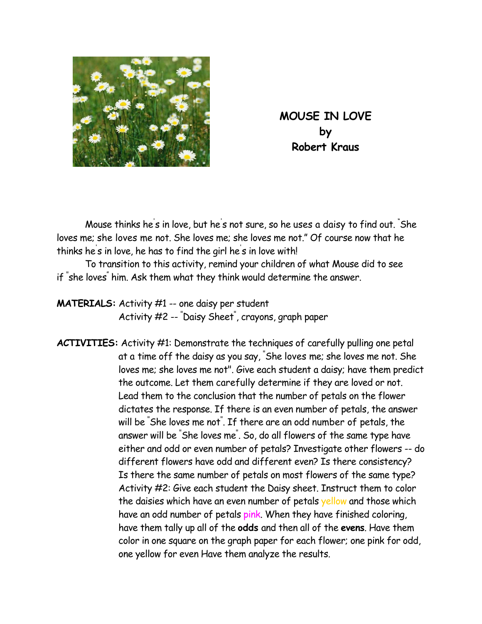

## **MOUSE IN LOVE by Robert Kraus**

 Mouse thinks he' s in love, but he' s not sure, so he uses a daisy to find out. " She loves me; she loves me not. She loves me; she loves me not." Of course now that he thinks he' s in love, he has to find the girl he' s in love with!

 To transition to this activity, remind your children of what Mouse did to see if " she loves" him. Ask them what they think would determine the answer.

**MATERIALS:** Activity #1 -- one daisy per student Activity #2 -- " Daisy Sheet" , crayons, graph paper

**ACTIVITIES:** Activity #1: Demonstrate the techniques of carefully pulling one petal at a time off the daisy as you say, " She loves me; she loves me not. She loves me; she loves me not". Give each student a daisy; have them predict the outcome. Let them carefully determine if they are loved or not. Lead them to the conclusion that the number of petals on the flower dictates the response. If there is an even number of petals, the answer will be " She loves me not" . If there are an odd number of petals, the answer will be " She loves me" . So, do all flowers of the same type have either and odd or even number of petals? Investigate other flowers -- do different flowers have odd and different even? Is there consistency? Is there the same number of petals on most flowers of the same type? Activity #2: Give each student the Daisy sheet. Instruct them to color the daisies which have an even number of petals yellow and those which have an odd number of petals pink. When they have finished coloring, have them tally up all of the **odds** and then all of the **evens**. Have them color in one square on the graph paper for each flower; one pink for odd, one yellow for even Have them analyze the results.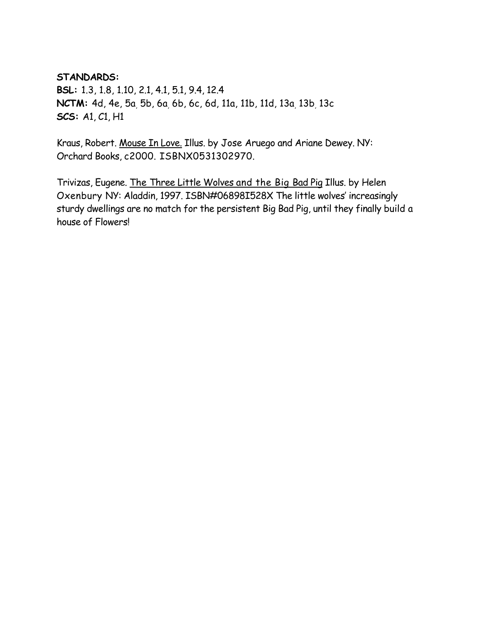## **STANDARDS:**

**BSL:** 1.3, 1.8, 1.10, 2.1, 4.1, 5.1, 9.4, 12.4 **NCTM:** 4d, 4e, 5a, 5b, 6a, 6b, 6c, 6d, 11a, 11b, 11d, 13a, 13b, 13c **SCS:** A1, C1, H1

Kraus, Robert. Mouse In Love. Illus. by Jose Aruego and Ariane Dewey. NY: Orchard Books, c2000. ISBNX0531302970.

Trivizas, Eugene. The Three Little Wolves and the Big Bad Pig Illus. by Helen Oxenbury NY: Aladdin, 1997. ISBN#06898I528X The little wolves' increasingly sturdy dwellings are no match for the persistent Big Bad Pig, until they finally build a house of Flowers!